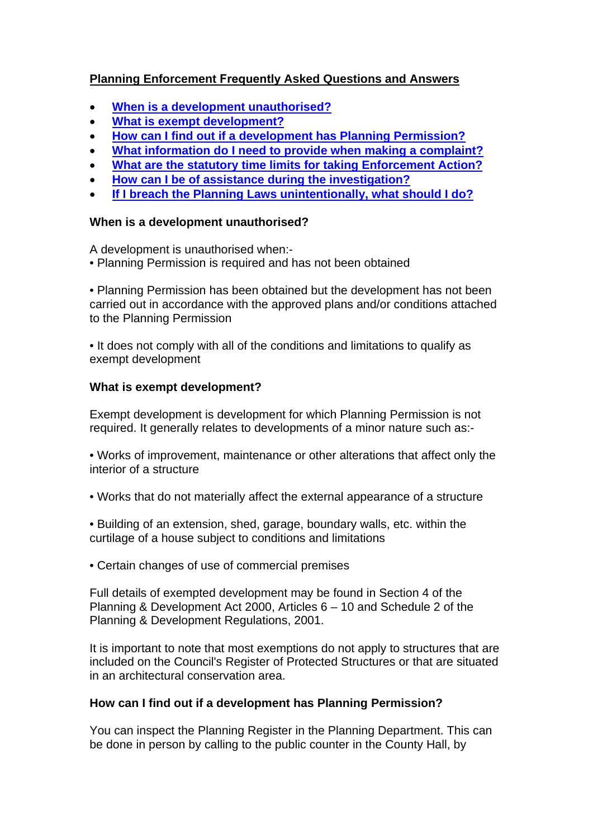# **Planning Enforcement Frequently Asked Questions and Answers**

- **[When is a development unauthorised?](#page-0-0)**
- **[What is exempt development?](#page-0-1)**
- **[How can I find out if a development has Planning Permission?](#page-0-2)**
- **[What information do I need to provide when making a complaint?](#page-1-0)**
- <span id="page-0-3"></span>**[What are the statutory time limits for taking Enforcement Action?](#page-0-3)**
- **[How can I be of assistance during the investigation?](#page-1-1)**
- <span id="page-0-4"></span>**[If I breach the Planning Laws unintentionally, what should I do?](#page-0-4)**

# <span id="page-0-0"></span>**When is a development unauthorised?**

A development is unauthorised when:-

• Planning Permission is required and has not been obtained

• Planning Permission has been obtained but the development has not been carried out in accordance with the approved plans and/or conditions attached to the Planning Permission

• It does not comply with all of the conditions and limitations to qualify as exempt development

# <span id="page-0-1"></span>**What is exempt development?**

Exempt development is development for which Planning Permission is not required. It generally relates to developments of a minor nature such as:-

- Works of improvement, maintenance or other alterations that affect only the interior of a structure
- Works that do not materially affect the external appearance of a structure
- Building of an extension, shed, garage, boundary walls, etc. within the curtilage of a house subject to conditions and limitations
- Certain changes of use of commercial premises

Full details of exempted development may be found in Section 4 of the Planning & Development Act 2000, Articles 6 – 10 and Schedule 2 of the Planning & Development Regulations, 2001.

It is important to note that most exemptions do not apply to structures that are included on the Council's Register of Protected Structures or that are situated in an architectural conservation area.

# <span id="page-0-2"></span>**How can I find out if a development has Planning Permission?**

You can inspect the Planning Register in the Planning Department. This can be done in person by calling to the public counter in the County Hall, by